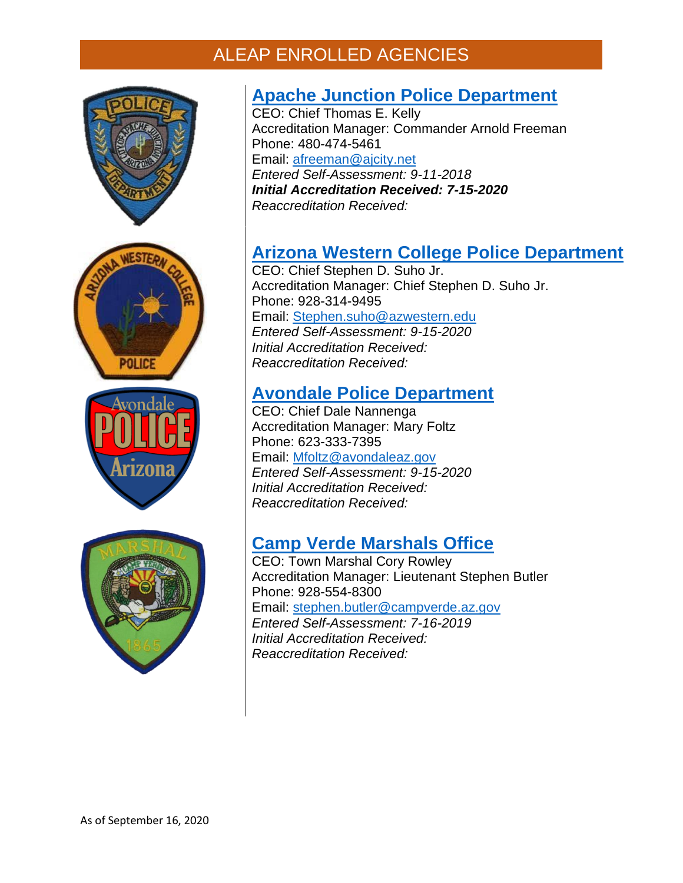







### **[Apache Junction Police Department](https://www.ajcity.net/112/Police-Department)**

CEO: Chief Thomas E. Kelly Accreditation Manager: Commander Arnold Freeman Phone: 480-474-5461 Email: [afreeman@ajcity.net](mailto:afreeman@ajcity.net) *Entered Self-Assessment: 9-11-2018 Initial Accreditation Received: 7-15-2020 Reaccreditation Received:*

## **[Arizona Western College Police Department](http://www.ci.wickenburg.az.us/73/Police-Department)**

CEO: Chief Stephen D. Suho Jr. Accreditation Manager: Chief Stephen D. Suho Jr. Phone: 928-314-9495 Email: [Stephen.suho@azwestern.edu](mailto:Stephen.suho@azwestern.edu) *Entered Self-Assessment: 9-15-2020 Initial Accreditation Received: Reaccreditation Received:*

#### **[Avondale Police Department](http://www.ci.wickenburg.az.us/73/Police-Department)**

CEO: Chief Dale Nannenga Accreditation Manager: Mary Foltz Phone: 623-333-7395 Email: [Mfoltz@avondaleaz.gov](mailto:Mfoltz@avondaleaz.gov) *Entered Self-Assessment: 9-15-2020 Initial Accreditation Received: Reaccreditation Received:*

### **[Camp Verde Marshals Office](http://www.ci.wickenburg.az.us/73/Police-Department)**

CEO: Town Marshal Cory Rowley Accreditation Manager: Lieutenant Stephen Butler Phone: 928-554-8300 Email: [stephen.butler@campverde.az.gov](mailto:stephen.butler@campverde.az.gov) *Entered Self-Assessment: 7-16-2019 Initial Accreditation Received: Reaccreditation Received:*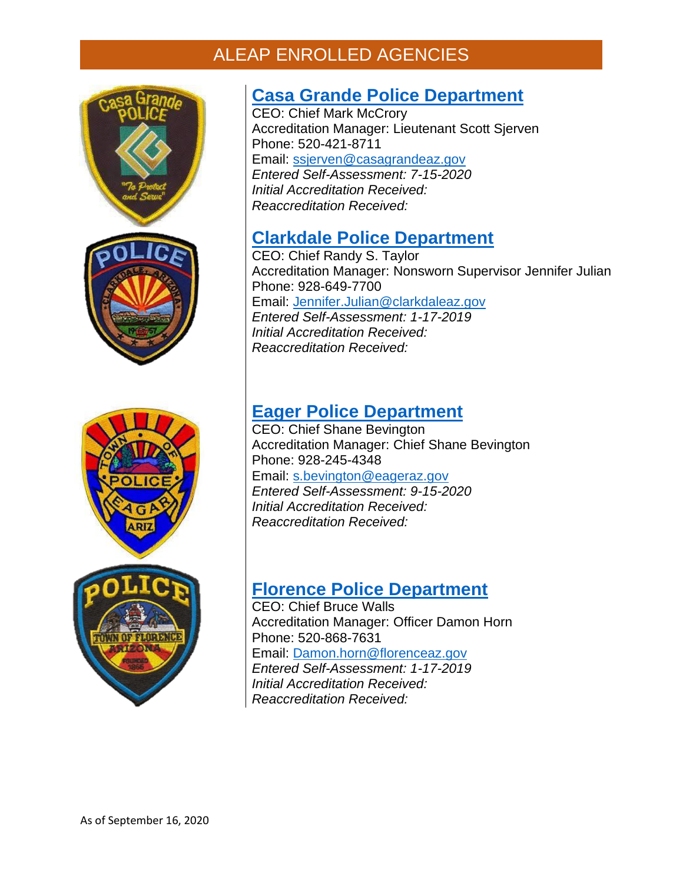



### **[Casa Grande Police Department](http://www.ci.wickenburg.az.us/73/Police-Department)**

**CEO: Chief Mark McCrory** Accreditation Manager: Lieutenant Scott Sjerven Phone: 520-421-8711 Email: [ssjerven@casagrandeaz.gov](mailto:ssjerven@casagrandeaz.gov) *Entered Self-Assessment: 7-15-2020 Initial Accreditation Received: Reaccreditation Received:*

### **[Clarkdale Police Department](https://www.clarkdale.az.gov/your_government/police/index.php)**

CEO: Chief Randy S. Taylor Accreditation Manager: Nonsworn Supervisor Jennifer Julian Phone: 928-649-7700 Email: [Jennifer.Julian@clarkdaleaz.gov](mailto:Jennifer.Julian@clarkdaleaz.gov) *Entered Self-Assessment: 1-17-2019 Initial Accreditation Received: Reaccreditation Received:*

### **[Eager Police Department](http://www.ci.wickenburg.az.us/73/Police-Department)**

CEO: Chief Shane Bevington Accreditation Manager: Chief Shane Bevington Phone: 928-245-4348 Email: [s.bevington@eageraz.gov](mailto:s.bevington@eageraz.gov) *Entered Self-Assessment: 9-15-2020 Initial Accreditation Received: Reaccreditation Received:*

## **[Florence Police Department](http://www.florenceaz.gov/police/)**

CEO: Chief Bruce Walls Accreditation Manager: Officer Damon Horn Phone: 520-868-7631 Email: [Damon.horn@florenceaz.gov](mailto:Damon.horn@florenceaz.gov) *Entered Self-Assessment: 1-17-2019 Initial Accreditation Received: Reaccreditation Received:*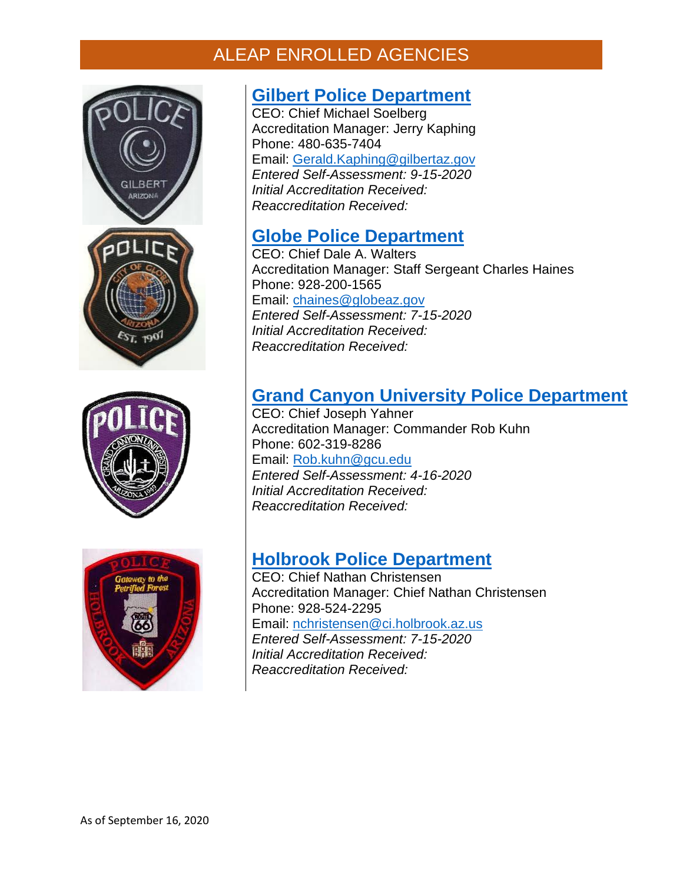





### **[Gilbert Police Department](http://www.ci.wickenburg.az.us/73/Police-Department)**

CEO: Chief Michael Soelberg Accreditation Manager: Jerry Kaphing Phone: 480-635-7404 Email: [Gerald.Kaphing@gilbertaz.gov](mailto:Gerald.Kaphing@gilbertaz.gov) *Entered Self-Assessment: 9-15-2020 Initial Accreditation Received: Reaccreditation Received:*

#### **[Globe Police Department](http://www.ci.wickenburg.az.us/73/Police-Department)**

CEO: Chief Dale A. Walters Accreditation Manager: Staff Sergeant Charles Haines Phone: 928-200-1565 Email: [chaines@globeaz.gov](mailto:chaines@globeaz.gov) *Entered Self-Assessment: 7-15-2020 Initial Accreditation Received: Reaccreditation Received:*

### **[Grand Canyon University](http://www.ci.wickenburg.az.us/73/Police-Department) Police Department**

CEO: Chief Joseph Yahner Accreditation Manager: Commander Rob Kuhn Phone: 602-319-8286 Email: [Rob.kuhn@gcu.edu](mailto:Rob.kuhn@gcu.edu) *Entered Self-Assessment: 4-16-2020 Initial Accreditation Received: Reaccreditation Received:*

### **[Holbrook Police Department](http://www.ci.wickenburg.az.us/73/Police-Department)**

CEO: Chief Nathan Christensen Accreditation Manager: Chief Nathan Christensen Phone: 928-524-2295 Email: [nchristensen@ci.holbrook.az.us](mailto:nchristensen@ci.holbrook.az.us) *Entered Self-Assessment: 7-15-2020 Initial Accreditation Received: Reaccreditation Received:*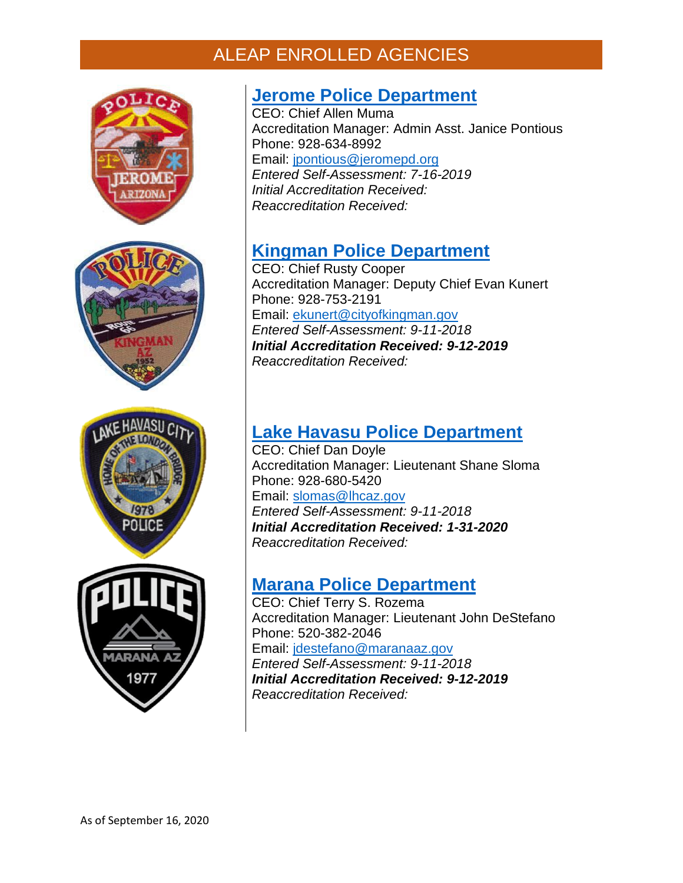





### **Jerome [Police Department](http://www.ci.wickenburg.az.us/73/Police-Department)**

CEO: Chief Allen Muma Accreditation Manager: Admin Asst. Janice Pontious Phone: 928-634-8992 Email: [jpontious@jeromepd.org](mailto:jpontious@jeromepd.org) *Entered Self-Assessment: 7-16-2019 Initial Accreditation Received: Reaccreditation Received:*

## **[Kingman Police Department](https://www.cityofkingman.gov/government/departments/police-department)**

CEO: Chief Rusty Cooper Accreditation Manager: Deputy Chief Evan Kunert Phone: 928-753-2191 Email: [ekunert@cityofkingman.gov](mailto:ekunert@cityofkingman.gov) *Entered Self-Assessment: 9-11-2018 Initial Accreditation Received: 9-12-2019 Reaccreditation Received:*

## **[Lake Havasu Police Department](https://www.lhcaz.gov/police)**

CEO: Chief Dan Doyle Accreditation Manager: Lieutenant Shane Sloma Phone: 928-680-5420 Email: [slomas@lhcaz.gov](mailto:slomas@lhcaz.gov) *Entered Self-Assessment: 9-11-2018 Initial Accreditation Received: 1-31-2020 Reaccreditation Received:*

### **[Marana Police Department](http://www.maranaaz.gov/mpd)**

CEO: Chief Terry S. Rozema Accreditation Manager: Lieutenant John DeStefano Phone: 520-382-2046 Email: [jdestefano@maranaaz.gov](mailto:jdestefano@maranaaz.gov) *Entered Self-Assessment: 9-11-2018 Initial Accreditation Received: 9-12-2019 Reaccreditation Received:*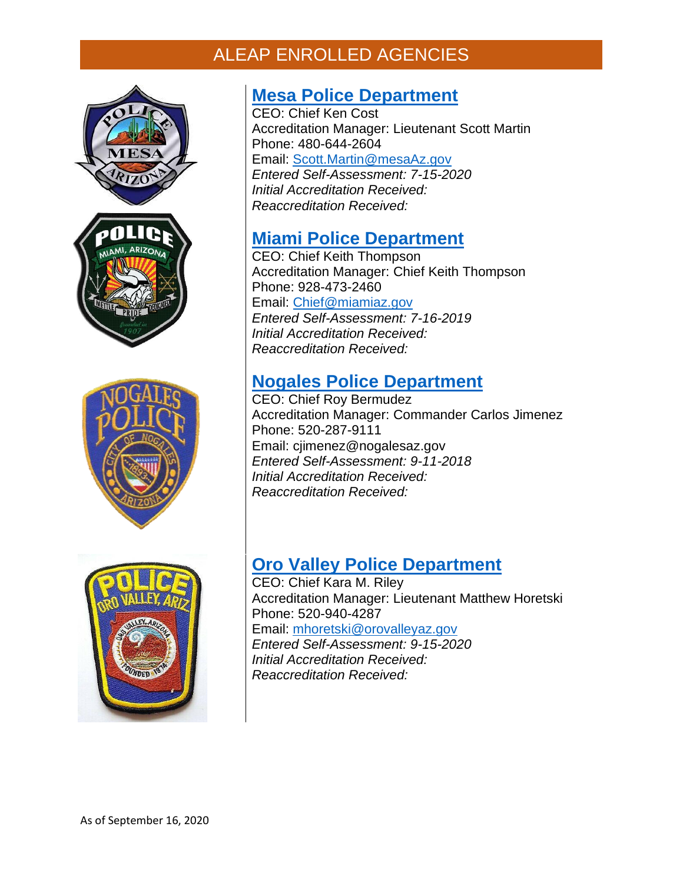





### **[Mesa Police Department](http://www.ci.wickenburg.az.us/73/Police-Department)**

CEO: Chief Ken Cost Accreditation Manager: Lieutenant Scott Martin Phone: 480-644-2604 Email: [Scott.Martin@mesaAz.gov](mailto:Scott.Martin@mesaAz.gov) *Entered Self-Assessment: 7-15-2020 Initial Accreditation Received: Reaccreditation Received:*

### **Miami [Police Department](http://www.ci.wickenburg.az.us/73/Police-Department)**

CEO: Chief Keith Thompson Accreditation Manager: Chief Keith Thompson Phone: 928-473-2460 Email: [Chief@miamiaz.gov](mailto:Chief@miamiaz.gov) *Entered Self-Assessment: 7-16-2019 Initial Accreditation Received: Reaccreditation Received:*

## **[Nogales Police Department](https://nogalesaz.gov/administration/police-department)**

CEO: Chief Roy Bermudez Accreditation Manager: Commander Carlos Jimenez Phone: 520-287-9111 Email: cjimenez@nogalesaz.gov *Entered Self-Assessment: 9-11-2018 Initial Accreditation Received: Reaccreditation Received:*

## **[Oro Valley Police Department](http://www.ci.wickenburg.az.us/73/Police-Department)**

CEO: Chief Kara M. Riley Accreditation Manager: Lieutenant Matthew Horetski Phone: 520-940-4287 Email: [mhoretski@orovalleyaz.gov](mailto:mhoretski@orovalleyaz.gov) *Entered Self-Assessment: 9-15-2020 Initial Accreditation Received: Reaccreditation Received:*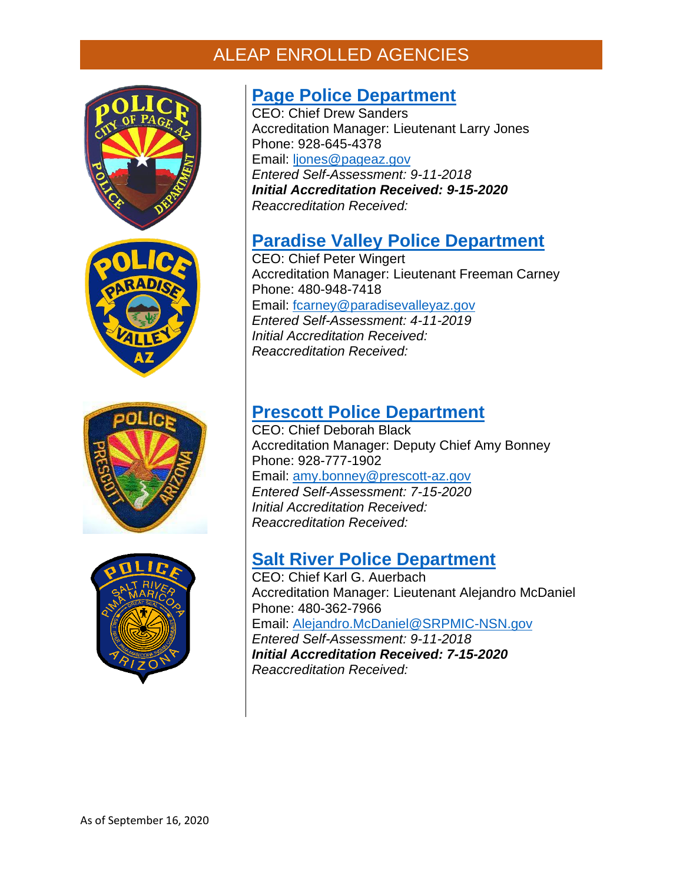







### **[Page Police Department](https://www.cityofpagepd.com/)**

CEO: Chief Drew Sanders Accreditation Manager: Lieutenant Larry Jones Phone: 928-645-4378 Email: [ljones@pageaz.gov](mailto:ljones@pageaz.gov) *Entered Self-Assessment: 9-11-2018 Initial Accreditation Received: 9-15-2020 Reaccreditation Received:*

### **[Paradise Valley Police Department](https://www.paradisevalleyaz.gov/125/Police)**

CEO: Chief Peter Wingert Accreditation Manager: Lieutenant Freeman Carney Phone: 480-948-7418 Email: [fcarney@paradisevalleyaz.gov](mailto:fcarney@paradisevalleyaz.gov) *Entered Self-Assessment: 4-11-2019 Initial Accreditation Received: Reaccreditation Received:*

### **[Prescott Police Department](http://www.ci.wickenburg.az.us/73/Police-Department)**

CEO: Chief Deborah Black Accreditation Manager: Deputy Chief Amy Bonney Phone: 928-777-1902 Email: [amy.bonney@prescott-az.gov](mailto:amy.bonney@prescott-az.gov) *Entered Self-Assessment: 7-15-2020 Initial Accreditation Received: Reaccreditation Received:*

### **[Salt River Police Department](https://www.srpmic-nsn.gov/government/srpd/)**

CEO: Chief Karl G. Auerbach Accreditation Manager: Lieutenant Alejandro McDaniel Phone: 480-362-7966 Email: [Alejandro.McDaniel@SRPMIC-NSN.gov](mailto:Alejandro.McDaniel@SRPMIC-NSN.gov) *Entered Self-Assessment: 9-11-2018 Initial Accreditation Received: 7-15-2020 Reaccreditation Received:*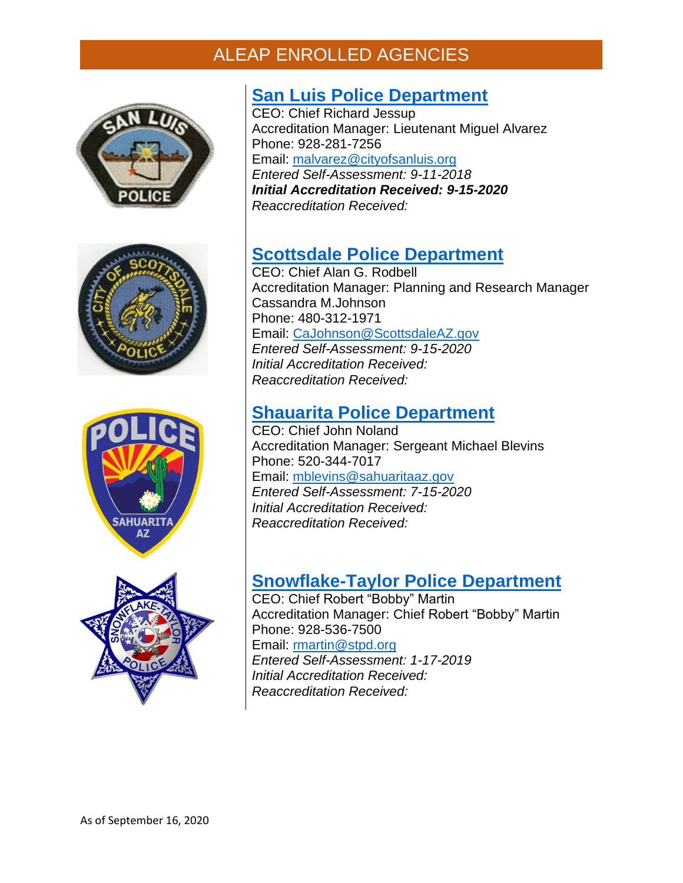







### **[San Luis Police Department](http://sanluispolice.org/)**

CEO: Chief Richard Jessup Accreditation Manager: Lieutenant Miguel Alvarez Phone: 928-281-7256 Email: [malvarez@cityofsanluis.org](mailto:malvarez@cityofsanluis.org) *Entered Self-Assessment: 9-11-2018 Initial Accreditation Received: 9-15-2020 Reaccreditation Received:*

## **[Scottsdale Police Department](http://www.ci.wickenburg.az.us/73/Police-Department)**

CEO: Chief Alan G. Rodbell Accreditation Manager: Planning and Research Manager Cassandra M.Johnson Phone: 480-312-1971 Email: [CaJohnson@ScottsdaleAZ.gov](mailto:CaJohnson@ScottsdaleAZ.gov) *Entered Self-Assessment: 9-15-2020 Initial Accreditation Received: Reaccreditation Received:*

### **[Shauarita Police Department](http://www.ci.wickenburg.az.us/73/Police-Department)**

CEO: Chief John Noland Accreditation Manager: Sergeant Michael Blevins Phone: 520-344-7017 Email: [mblevins@sahuaritaaz.gov](mailto:mblevins@sahuaritaaz.gov) *Entered Self-Assessment: 7-15-2020 Initial Accreditation Received: Reaccreditation Received:*

## **[Snowflake-Taylor Police Department](http://ci.snowflake.az.us/departments/police-department/)**

CEO: Chief Robert "Bobby" Martin Accreditation Manager: Chief Robert "Bobby" Martin Phone: 928-536-7500 Email: [rmartin@stpd.org](mailto:rmartin@stpd.org) *Entered Self-Assessment: 1-17-2019 Initial Accreditation Received: Reaccreditation Received:*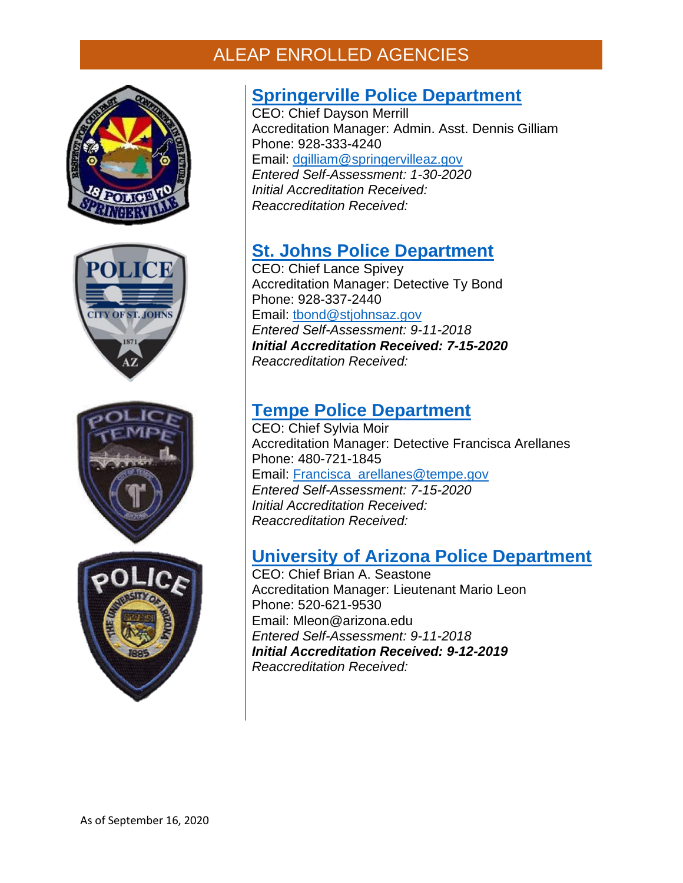







## **Springerville [Police Department](http://www.ci.wickenburg.az.us/73/Police-Department)**

CEO: Chief Dayson Merrill Accreditation Manager: Admin. Asst. Dennis Gilliam Phone: 928-333-4240 Email: [dgilliam@springervilleaz.gov](mailto:dgilliam@springervilleaz.gov) *Entered Self-Assessment: 1-30-2020 Initial Accreditation Received: Reaccreditation Received:*

# **[St. Johns Police Department](http://www.stjohnsaz.gov/police/)**

CEO: Chief Lance Spivey Accreditation Manager: Detective Ty Bond Phone: 928-337-2440 Email: [tbond@stjohnsaz.gov](mailto:tbond@stjohnsaz.gov) *Entered Self-Assessment: 9-11-2018 Initial Accreditation Received: 7-15-2020 Reaccreditation Received:*

## **[Tempe Police Department](http://www.ci.wickenburg.az.us/73/Police-Department)**

CEO: Chief Sylvia Moir Accreditation Manager: Detective Francisca Arellanes Phone: 480-721-1845 Email: [Francisca\\_arellanes@tempe.gov](mailto:Francisca_arellanes@tempe.gov) *Entered Self-Assessment: 7-15-2020 Initial Accreditation Received: Reaccreditation Received:*

### **[University of Arizona Police Department](https://uapd.arizona.edu/)**

CEO: Chief Brian A. Seastone Accreditation Manager: Lieutenant Mario Leon Phone: 520-621-9530 Email: Mleon@arizona.edu *Entered Self-Assessment: 9-11-2018 Initial Accreditation Received: 9-12-2019 Reaccreditation Received:*